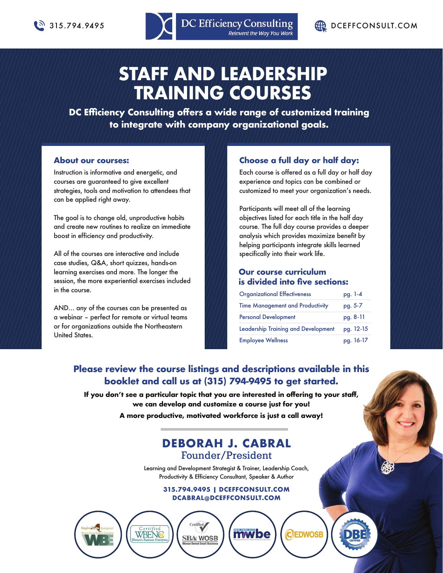

# **STAFF AND LEADERSHIP TRAINING COURSES**

**DC Efficiency Consulting offers a wide range of customized training to integrate with company organizational goals.**

### **About our courses:**

Instruction is informative and energetic, and courses are guaranteed to give excellent strategies, tools and motivation to attendees that can be applied right away.

The goal is to change old, unproductive habits and create new routines to realize an immediate boost in efficiency and productivity.

All of the courses are interactive and include case studies, Q&A, short quizzes, hands-on learning exercises and more. The longer the session, the more experiential exercises included in the course.

AND… any of the courses can be presented as a webinar – perfect for remote or virtual teams or for organizations outside the Northeastern United States.

Certified<br>WBENG

### **Choose a full day or half day:**

Each course is offered as a full day or half day experience and topics can be combined or customized to meet your organization's needs.

Participants will meet all of the learning objectives listed for each title in the half day course. The full day course provides a deeper analysis which provides maximize benefit by helping participants integrate skills learned specifically into their work life.

### **Our course curriculum is divided into five sections:**

| <b>Organizational Effectiveness</b>        | pg. 1-4   |
|--------------------------------------------|-----------|
| <b>Time Management and Productivity</b>    | pg. 5-7   |
| <b>Personal Development</b>                | pg. 8-11  |
| <b>Leadership Training and Development</b> | pg. 12-15 |
| <b>Employee Wellness</b>                   | pg. 16-17 |

CEDWOSB

## **Please review the course listings and descriptions available in this booklet and call us at (315) 794-9495 to get started.**

**If you don't see a particular topic that you are interested in offering to your staff, we can develop and customize a course just for you! A more productive, motivated workforce is just a call away!**

## **DEBORAH J. CABRAL Founder/President**

Learning and Development Strategist & Trainer, Leadership Coach, Productivity & Efficiency Consultant, Speaker & Author

> **315.794.9495 | DCEFFCONSULT.COM DCABRAL@DCEFFCONSULT.COM**

> > **SBA WOSB**

**mwbe**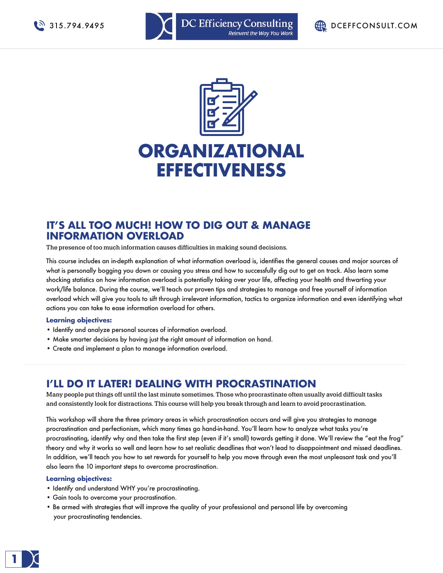





## **IT'S ALL TOO MUCH! HOW TO DIG OUT & MANAGE INFORMATION OVERLOAD**

**The presence of too much information causes difficulties in making sound decisions.**

This course includes an in-depth explanation of what information overload is, identifies the general causes and major sources of what is personally bogging you down or causing you stress and how to successfully dig out to get on track. Also learn some shocking statistics on how information overload is potentially taking over your life, affecting your health and thwarting your work/life balance. During the course, we'll teach our proven tips and strategies to manage and free yourself of information overload which will give you tools to sift through irrelevant information, tactics to organize information and even identifying what actions you can take to ease information overload for others.

### **Learning objectives:**

- Identify and analyze personal sources of information overload.
- Make smarter decisions by having just the right amount of information on hand.
- Create and implement a plan to manage information overload.

### **I'LL DO IT LATER! DEALING WITH PROCRASTINATION**

**Many people put things off until the last minute sometimes. Those who procrastinate often usually avoid difficult tasks and consistently look for distractions. This course will help you break through and learn to avoid procrastination.**

This workshop will share the three primary areas in which procrastination occurs and will give you strategies to manage procrastination and perfectionism, which many times go hand-in-hand. You'll learn how to analyze what tasks you're procrastinating, identify why and then take the first step (even if it's small) towards getting it done. We'll review the "eat the frog" theory and why it works so well and learn how to set realistic deadlines that won't lead to disappointment and missed deadlines. In addition, we'll teach you how to set rewards for yourself to help you move through even the most unpleasant task and you'll also learn the 10 important steps to overcome procrastination.

- Identify and understand WHY you're procrastinating.
- Gain tools to overcome your procrastination.
- Be armed with strategies that will improve the quality of your professional and personal life by overcoming your procrastinating tendencies.

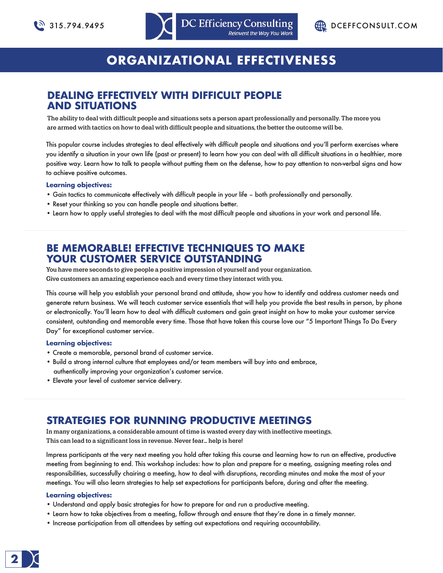



# **ORGANIZATIONAL EFFECTIVENESS**

## **DEALING EFFECTIVELY WITH DIFFICULT PEOPLE AND SITUATIONS**

**The ability to deal with difficult people and situations sets a person apart professionally and personally. The more you are armed with tactics on how to deal with difficult people and situations, the better the outcome will be.**

This popular course includes strategies to deal effectively with difficult people and situations and you'll perform exercises where you identify a situation in your own life (past or present) to learn how you can deal with all difficult situations in a healthier, more positive way. Learn how to talk to people without putting them on the defense, how to pay attention to non-verbal signs and how to achieve positive outcomes.

### **Learning objectives:**

- Gain tactics to communicate effectively with difficult people in your life both professionally and personally.
- Reset your thinking so you can handle people and situations better.
- Learn how to apply useful strategies to deal with the most difficult people and situations in your work and personal life.

## **BE MEMORABLE! EFFECTIVE TECHNIQUES TO MAKE YOUR CUSTOMER SERVICE OUTSTANDING**

**You have mere seconds to give people a positive impression of yourself and your organization. Give customers an amazing experience each and every time they interact with you.**

This course will help you establish your personal brand and attitude, show you how to identify and address customer needs and generate return business. We will teach customer service essentials that will help you provide the best results in person, by phone or electronically. You'll learn how to deal with difficult customers and gain great insight on how to make your customer service consistent, outstanding and memorable every time. Those that have taken this course love our "5 Important Things To Do Every Day" for exceptional customer service.

### **Learning objectives:**

- Create a memorable, personal brand of customer service.
- Build a strong internal culture that employees and/or team members will buy into and embrace, authentically improving your organization's customer service.
- Elevate your level of customer service delivery.

## **STRATEGIES FOR RUNNING PRODUCTIVE MEETINGS**

**In many organizations, a considerable amount of time is wasted every day with ineffective meetings. This can lead to a significant loss in revenue. Never fear… help is here!**

Impress participants at the very next meeting you hold after taking this course and learning how to run an effective, productive meeting from beginning to end. This workshop includes: how to plan and prepare for a meeting, assigning meeting roles and responsibilities, successfully chairing a meeting, how to deal with disruptions, recording minutes and make the most of your meetings. You will also learn strategies to help set expectations for participants before, during and after the meeting.

- Understand and apply basic strategies for how to prepare for and run a productive meeting.
- Learn how to take objectives from a meeting, follow through and ensure that they're done in a timely manner.
- Increase participation from all attendees by setting out expectations and requiring accountability.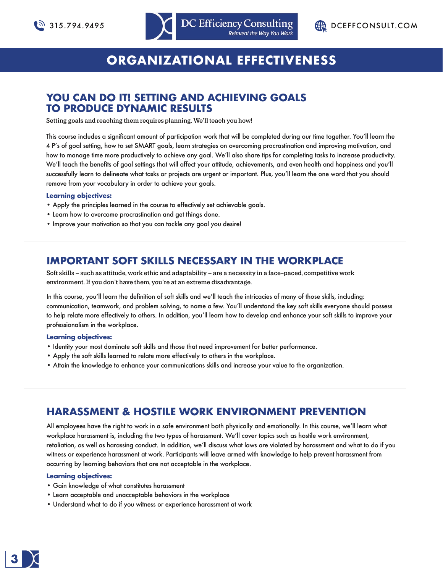



# **ORGANIZATIONAL EFFECTIVENESS**

## **YOU CAN DO IT! SETTING AND ACHIEVING GOALS TO PRODUCE DYNAMIC RESULTS**

**Setting goals and reaching them requires planning. We'll teach you how!**

This course includes a significant amount of participation work that will be completed during our time together. You'll learn the 4 P's of goal setting, how to set SMART goals, learn strategies on overcoming procrastination and improving motivation, and how to manage time more productively to achieve any goal. We'll also share tips for completing tasks to increase productivity. We'll teach the benefits of goal settings that will affect your attitude, achievements, and even health and happiness and you'll successfully learn to delineate what tasks or projects are urgent or important. Plus, you'll learn the one word that you should remove from your vocabulary in order to achieve your goals.

### **Learning objectives:**

- Apply the principles learned in the course to effectively set achievable goals.
- Learn how to overcome procrastination and get things done.
- Improve your motivation so that you can tackle any goal you desire!

## **IMPORTANT SOFT SKILLS NECESSARY IN THE WORKPLACE**

**Soft skills – such as attitude, work ethic and adaptability – are a necessity in a face-paced, competitive work environment. If you don't have them, you're at an extreme disadvantage.**

In this course, you'll learn the definition of soft skills and we'll teach the intricacies of many of those skills, including: communication, teamwork, and problem solving, to name a few. You'll understand the key soft skills everyone should possess to help relate more effectively to others. In addition, you'll learn how to develop and enhance your soft skills to improve your professionalism in the workplace.

### **Learning objectives:**

- Identity your most dominate soft skills and those that need improvement for better performance.
- Apply the soft skills learned to relate more effectively to others in the workplace.
- Attain the knowledge to enhance your communications skills and increase your value to the organization.

## **HARASSMENT & HOSTILE WORK ENVIRONMENT PREVENTION**

All employees have the right to work in a safe environment both physically and emotionally. In this course, we'll learn what workplace harassment is, including the two types of harassment. We'll cover topics such as hostile work environment, retaliation, as well as harassing conduct. In addition, we'll discuss what laws are violated by harassment and what to do if you witness or experience harassment at work. Participants will leave armed with knowledge to help prevent harassment from occurring by learning behaviors that are not acceptable in the workplace.

- Gain knowledge of what constitutes harassment
- Learn acceptable and unacceptable behaviors in the workplace
- Understand what to do if you witness or experience harassment at work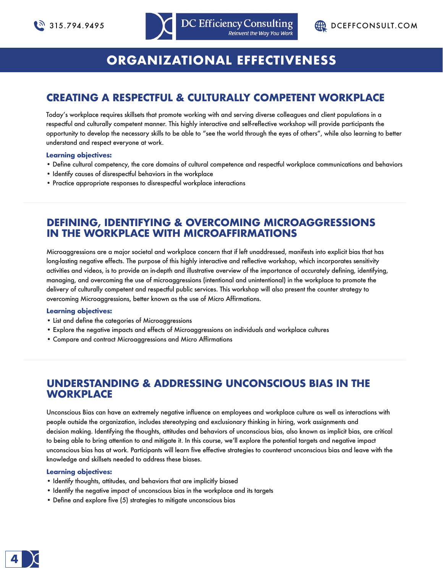

# **ORGANIZATIONAL EFFECTIVENESS**

## **CREATING A RESPECTFUL & CULTURALLY COMPETENT WORKPLACE**

Today's workplace requires skillsets that promote working with and serving diverse colleagues and client populations in a respectful and culturally competent manner. This highly interactive and self-reflective workshop will provide participants the opportunity to develop the necessary skills to be able to "see the world through the eyes of others", while also learning to better understand and respect everyone at work.

### **Learning objectives:**

- Define cultural competency, the core domains of cultural competence and respectful workplace communications and behaviors
- Identify causes of disrespectful behaviors in the workplace
- Practice appropriate responses to disrespectful workplace interactions

### **DEFINING, IDENTIFYING & OVERCOMING MICROAGGRESSIONS IN THE WORKPLACE WITH MICROAFFIRMATIONS**

Microaggressions are a major societal and workplace concern that if left unaddressed, manifests into explicit bias that has long-lasting negative effects. The purpose of this highly interactive and reflective workshop, which incorporates sensitivity activities and videos, is to provide an in-depth and illustrative overview of the importance of accurately defining, identifying, managing, and overcoming the use of microaggressions (intentional and unintentional) in the workplace to promote the delivery of culturally competent and respectful public services. This workshop will also present the counter strategy to overcoming Microaggressions, better known as the use of Micro Affirmations.

### **Learning objectives:**

- List and define the categories of Microaggressions
- Explore the negative impacts and effects of Microaggressions on individuals and workplace cultures
- Compare and contract Microaggressions and Micro Affirmations

### **UNDERSTANDING & ADDRESSING UNCONSCIOUS BIAS IN THE WORKPLACE**

Unconscious Bias can have an extremely negative influence on employees and workplace culture as well as interactions with people outside the organization, includes stereotyping and exclusionary thinking in hiring, work assignments and decision making. Identifying the thoughts, attitudes and behaviors of unconscious bias, also known as implicit bias, are critical to being able to bring attention to and mitigate it. In this course, we'll explore the potential targets and negative impact unconscious bias has at work. Participants will learn five effective strategies to counteract unconscious bias and leave with the knowledge and skillsets needed to address these biases.

- Identify thoughts, attitudes, and behaviors that are implicitly biased
- Identify the negative impact of unconscious bias in the workplace and its targets
- Define and explore five (5) strategies to mitigate unconscious bias

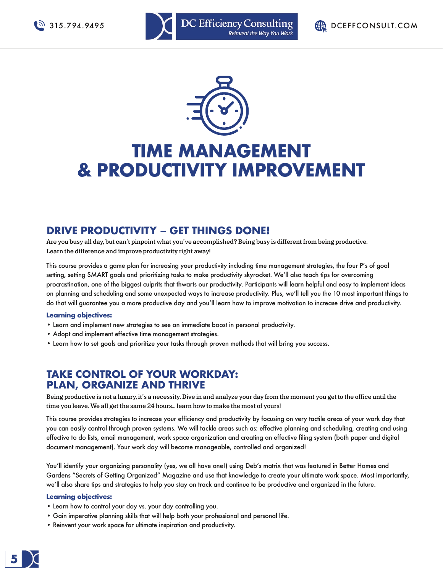



# **TIME MANAGEMENT & PRODUCTIVITY IMPROVEMENT**

## **DRIVE PRODUCTIVITY – GET THINGS DONE!**

**Are you busy all day, but can't pinpoint what you've accomplished? Being busy is different from being productive. Learn the difference and improve productivity right away!**

This course provides a game plan for increasing your productivity including time management strategies, the four P's of goal setting, setting SMART goals and prioritizing tasks to make productivity skyrocket. We'll also teach tips for overcoming procrastination, one of the biggest culprits that thwarts our productivity. Participants will learn helpful and easy to implement ideas on planning and scheduling and some unexpected ways to increase productivity. Plus, we'll tell you the 10 most important things to do that will guarantee you a more productive day and you'll learn how to improve motivation to increase drive and productivity.

### **Learning objectives:**

- Learn and implement new strategies to see an immediate boost in personal productivity.
- Adopt and implement effective time management strategies.
- Learn how to set goals and prioritize your tasks through proven methods that will bring you success.

## **TAKE CONTROL OF YOUR WORKDAY: PLAN, ORGANIZE AND THRIVE**

**Being productive is not a luxury, it's a necessity. Dive in and analyze your day from the moment you get to the office until the time you leave. We all get the same 24 hours… learn how to make the most of yours!**

This course provides strategies to increase your efficiency and productivity by focusing on very tactile areas of your work day that you can easily control through proven systems. We will tackle areas such as: effective planning and scheduling, creating and using effective to do lists, email management, work space organization and creating an effective filing system (both paper and digital document management). Your work day will become manageable, controlled and organized!

You'll identify your organizing personality (yes, we all have one!) using Deb's matrix that was featured in Better Homes and Gardens "Secrets of Getting Organized" Magazine and use that knowledge to create your ultimate work space. Most importantly, we'll also share tips and strategies to help you stay on track and continue to be productive and organized in the future.

- Learn how to control your day vs. your day controlling you.
- Gain imperative planning skills that will help both your professional and personal life.
- Reinvent your work space for ultimate inspiration and productivity.

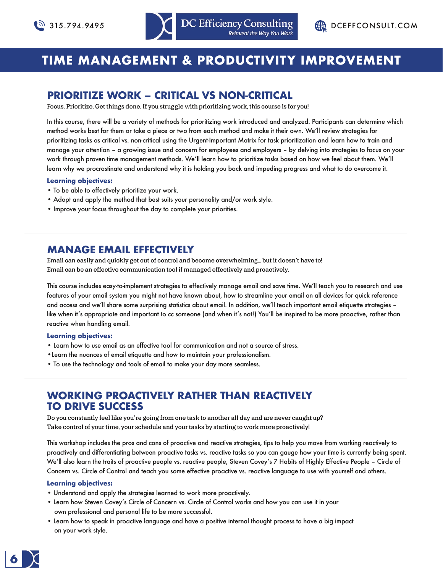# **TIME MANAGEMENT & PRODUCTIVITY IMPROVEMENT**

## **PRIORITIZE WORK – CRITICAL VS NON-CRITICAL**

**Focus. Prioritize. Get things done. If you struggle with prioritizing work, this course is for you!**

In this course, there will be a variety of methods for prioritizing work introduced and analyzed. Participants can determine which method works best for them or take a piece or two from each method and make it their own. We'll review strategies for prioritizing tasks as critical vs. non-critical using the Urgent-Important Matrix for task prioritization and learn how to train and manage your attention – a growing issue and concern for employees and employers – by delving into strategies to focus on your work through proven time management methods. We'll learn how to prioritize tasks based on how we feel about them. We'll learn why we procrastinate and understand why it is holding you back and impeding progress and what to do overcome it.

### **Learning objectives:**

- To be able to effectively prioritize your work.
- Adopt and apply the method that best suits your personality and/or work style.
- Improve your focus throughout the day to complete your priorities.

### **MANAGE EMAIL EFFECTIVELY**

**Email can easily and quickly get out of control and become overwhelming… but it doesn't have to! Email can be an effective communication tool if managed effectively and proactively.**

This course includes easy-to-implement strategies to effectively manage email and save time. We'll teach you to research and use features of your email system you might not have known about, how to streamline your email on all devices for quick reference and access and we'll share some surprising statistics about email. In addition, we'll teach important email etiquette strategies – like when it's appropriate and important to cc someone (and when it's not!) You'll be inspired to be more proactive, rather than reactive when handling email.

### **Learning objectives:**

- Learn how to use email as an effective tool for communication and not a source of stress.
- •Learn the nuances of email etiquette and how to maintain your professionalism.
- To use the technology and tools of email to make your day more seamless.

### **WORKING PROACTIVELY RATHER THAN REACTIVELY TO DRIVE SUCCESS**

**Do you constantly feel like you're going from one task to another all day and are never caught up? Take control of your time, your schedule and your tasks by starting to work more proactively!**

This workshop includes the pros and cons of proactive and reactive strategies, tips to help you move from working reactively to proactively and differentiating between proactive tasks vs. reactive tasks so you can gauge how your time is currently being spent. We'll also learn the traits of proactive people vs. reactive people, Steven Covey's 7 Habits of Highly Effective People – Circle of Concern vs. Circle of Control and teach you some effective proactive vs. reactive language to use with yourself and others.

- Understand and apply the strategies learned to work more proactively.
- Learn how Steven Covey's Circle of Concern vs. Circle of Control works and how you can use it in your own professional and personal life to be more successful.
- Learn how to speak in proactive language and have a positive internal thought process to have a big impact on your work style.

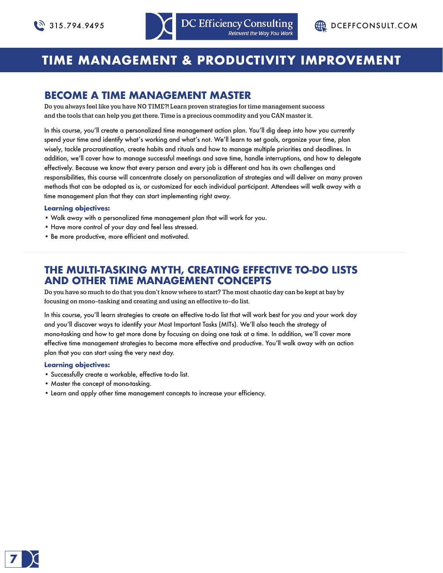# **TIME MANAGEMENT & PRODUCTIVITY IMPROVEMENT**

## **BECOME A TIME MANAGEMENT MASTER**

**Do you always feel like you have NO TIME?! Learn proven strategies for time management success and the tools that can help you get there. Time is a precious commodity and you CAN master it.**

In this course, you'll create a personalized time management action plan. You'll dig deep into how you currently spend your time and identify what's working and what's not. We'll learn to set goals, organize your time, plan wisely, tackle procrastination, create habits and rituals and how to manage multiple priorities and deadlines. In addition, we'll cover how to manage successful meetings and save time, handle interruptions, and how to delegate effectively. Because we know that every person and every job is different and has its own challenges and responsibilities, this course will concentrate closely on personalization of strategies and will deliver on many proven methods that can be adopted as is, or customized for each individual participant. Attendees will walk away with a time management plan that they can start implementing right away.

### **Learning objectives:**

- Walk away with a personalized time management plan that will work for you.
- Have more control of your day and feel less stressed.
- Be more productive, more efficient and motivated.

## **THE MULTI-TASKING MYTH, CREATING EFFECTIVE TO-DO LISTS AND OTHER TIME MANAGEMENT CONCEPTS**

**Do you have so much to do that you don't know where to start? The most chaotic day can be kept at bay by focusing on mono-tasking and creating and using an effective to-do list.**

In this course, you'll learn strategies to create an effective to-do list that will work best for you and your work day and you'll discover ways to identify your Most Important Tasks (MITs). We'll also teach the strategy of mono-tasking and how to get more done by focusing on doing one task at a time. In addition, we'll cover more effective time management strategies to become more effective and productive. You'll walk away with an action plan that you can start using the very next day.

- Successfully create a workable, effective to-do list.
- Master the concept of mono-tasking.
- Learn and apply other time management concepts to increase your efficiency.

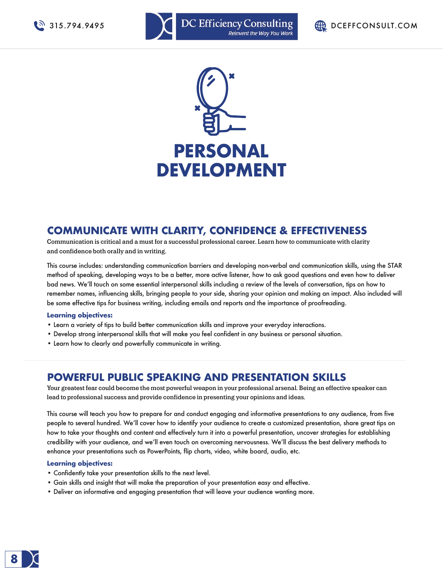





## **COMMUNICATE WITH CLARITY, CONFIDENCE & EFFECTIVENESS**

**Communication is critical and a must for a successful professional career. Learn how to communicate with clarity and confidence both orally and in writing.**

This course includes: understanding communication barriers and developing non-verbal and communication skills, using the STAR method of speaking, developing ways to be a better, more active listener, how to ask good questions and even how to deliver bad news. We'll touch on some essential interpersonal skills including a review of the levels of conversation, tips on how to remember names, influencing skills, bringing people to your side, sharing your opinion and making an impact. Also included will be some effective tips for business writing, including emails and reports and the importance of proofreading.

### **Learning objectives:**

- Learn a variety of tips to build better communication skills and improve your everyday interactions.
- Develop strong interpersonal skills that will make you feel confident in any business or personal situation.
- Learn how to clearly and powerfully communicate in writing.

### **POWERFUL PUBLIC SPEAKING AND PRESENTATION SKILLS**

**Your greatest fear could become the most powerful weapon in your professional arsenal. Being an effective speaker can lead to professional success and provide confidence in presenting your opinions and ideas.**

This course will teach you how to prepare for and conduct engaging and informative presentations to any audience, from five people to several hundred. We'll cover how to identify your audience to create a customized presentation, share great tips on how to take your thoughts and content and effectively turn it into a powerful presentation, uncover strategies for establishing credibility with your audience, and we'll even touch on overcoming nervousness. We'll discuss the best delivery methods to enhance your presentations such as PowerPoints, flip charts, video, white board, audio, etc.

- Confidently take your presentation skills to the next level.
- Gain skills and insight that will make the preparation of your presentation easy and effective.
- Deliver an informative and engaging presentation that will leave your audience wanting more.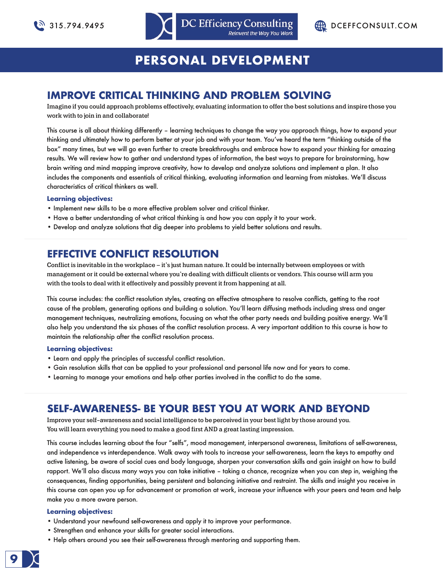

# **PERSONAL DEVELOPMENT**

## **IMPROVE CRITICAL THINKING AND PROBLEM SOLVING**

**Imagine if you could approach problems effectively, evaluating information to offer the best solutions and inspire those you work with to join in and collaborate!**

This course is all about thinking differently – learning techniques to change the way you approach things, how to expand your thinking and ultimately how to perform better at your job and with your team. You've heard the term "thinking outside of the box" many times, but we will go even further to create breakthroughs and embrace how to expand your thinking for amazing results. We will review how to gather and understand types of information, the best ways to prepare for brainstorming, how brain writing and mind mapping improve creativity, how to develop and analyze solutions and implement a plan. It also includes the components and essentials of critical thinking, evaluating information and learning from mistakes. We'll discuss characteristics of critical thinkers as well.

### **Learning objectives:**

- Implement new skills to be a more effective problem solver and critical thinker.
- Have a better understanding of what critical thinking is and how you can apply it to your work.
- Develop and analyze solutions that dig deeper into problems to yield better solutions and results.

## **EFFECTIVE CONFLICT RESOLUTION**

**Conflict is inevitable in the workplace – it's just human nature. It could be internally between employees or with management or it could be external where you're dealing with difficult clients or vendors. This course will arm you with the tools to deal with it effectively and possibly prevent it from happening at all.**

This course includes: the conflict resolution styles, creating an effective atmosphere to resolve conflicts, getting to the root cause of the problem, generating options and building a solution. You'll learn diffusing methods including stress and anger management techniques, neutralizing emotions, focusing on what the other party needs and building positive energy. We'll also help you understand the six phases of the conflict resolution process. A very important addition to this course is how to maintain the relationship after the conflict resolution process.

### **Learning objectives:**

- Learn and apply the principles of successful conflict resolution.
- Gain resolution skills that can be applied to your professional and personal life now and for years to come.
- Learning to manage your emotions and help other parties involved in the conflict to do the same.

## **SELF-AWARENESS- BE YOUR BEST YOU AT WORK AND BEYOND**

**Improve your self-awareness and social intelligence to be perceived in your best light by those around you. You will learn everything you need to make a good first AND a great lasting impression.**

This course includes learning about the four "selfs", mood management, interpersonal awareness, limitations of self-awareness, and independence vs interdependence. Walk away with tools to increase your self-awareness, learn the keys to empathy and active listening, be aware of social cues and body language, sharpen your conversation skills and gain insight on how to build rapport. We'll also discuss many ways you can take initiative – taking a chance, recognize when you can step in, weighing the consequences, finding opportunities, being persistent and balancing initiative and restraint. The skills and insight you receive in this course can open you up for advancement or promotion at work, increase your influence with your peers and team and help make you a more aware person.

- Understand your newfound self-awareness and apply it to improve your performance.
- Strengthen and enhance your skills for greater social interactions.
- Help others around you see their self-awareness through mentoring and supporting them.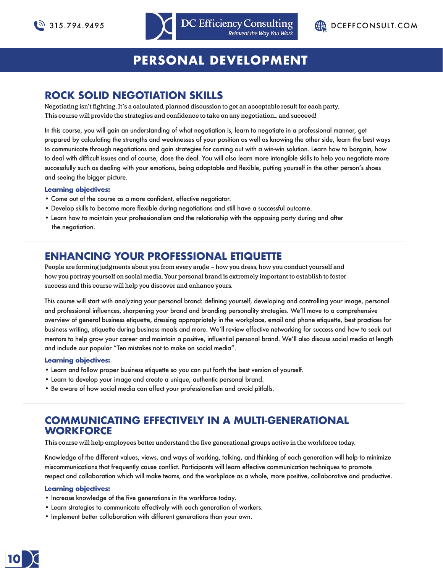



# **PERSONAL DEVELOPMENT**

## **ROCK SOLID NEGOTIATION SKILLS**

**Negotiating isn't fighting. It's a calculated, planned discussion to get an acceptable result for each party. This course will provide the strategies and confidence to take on any negotiation… and succeed!**

In this course, you will gain an understanding of what negotiation is, learn to negotiate in a professional manner, get prepared by calculating the strengths and weaknesses of your position as well as knowing the other side, learn the best ways to communicate through negotiations and gain strategies for coming out with a win-win solution. Learn how to bargain, how to deal with difficult issues and of course, close the deal. You will also learn more intangible skills to help you negotiate more successfully such as dealing with your emotions, being adaptable and flexible, putting yourself in the other person's shoes and seeing the bigger picture.

### **Learning objectives:**

- Come out of the course as a more confident, effective negotiator.
- Develop skills to become more flexible during negotiations and still have a successful outcome.
- Learn how to maintain your professionalism and the relationship with the opposing party during and after the negotiation.

## **ENHANCING YOUR PROFESSIONAL ETIQUETTE**

**People are forming judgments about you from every angle – how you dress, how you conduct yourself and how you portray yourself on social media. Your personal brand is extremely important to establish to foster success and this course will help you discover and enhance yours.**

This course will start with analyzing your personal brand: defining yourself, developing and controlling your image, personal and professional influences, sharpening your brand and branding personality strategies. We'll move to a comprehensive overview of general business etiquette, dressing appropriately in the workplace, email and phone etiquette, best practices for business writing, etiquette during business meals and more. We'll review effective networking for success and how to seek out mentors to help grow your career and maintain a positive, influential personal brand. We'll also discuss social media at length and include our popular "Ten mistakes not to make on social media".

### **Learning objectives:**

- Learn and follow proper business etiquette so you can put forth the best version of yourself.
- Learn to develop your image and create a unique, authentic personal brand.
- Be aware of how social media can affect your professionalism and avoid pitfalls.

## **COMMUNICATING EFFECTIVELY IN A MULTI-GENERATIONAL WORKFORCE**

**This course will help employees better understand the five generational groups active in the workforce today.**

Knowledge of the different values, views, and ways of working, talking, and thinking of each generation will help to minimize miscommunications that frequently cause conflict. Participants will learn effective communication techniques to promote respect and collaboration which will make teams, and the workplace as a whole, more positive, collaborative and productive.

- Increase knowledge of the five generations in the workforce today.
- Learn strategies to communicate effectively with each generation of workers.
- Implement better collaboration with different generations than your own.

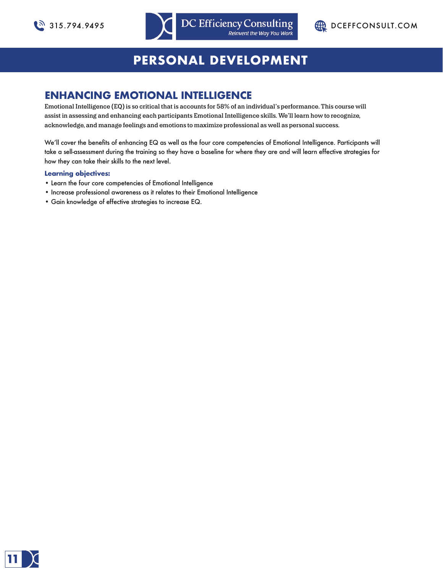



# **PERSONAL DEVELOPMENT**

## **ENHANCING EMOTIONAL INTELLIGENCE**

**Emotional Intelligence (EQ) is so critical that is accounts for 58% of an individual's performance. This course will assist in assessing and enhancing each participants Emotional Intelligence skills. We'll learn how to recognize, acknowledge, and manage feelings and emotions to maximize professional as well as personal success.**

We'll cover the benefits of enhancing EQ as well as the four core competencies of Emotional Intelligence. Participants will take a sell-assessment during the training so they have a baseline for where they are and will learn effective strategies for how they can take their skills to the next level.

- Learn the four core competencies of Emotional Intelligence
- Increase professional awareness as it relates to their Emotional Intelligence
- Gain knowledge of effective strategies to increase EQ.

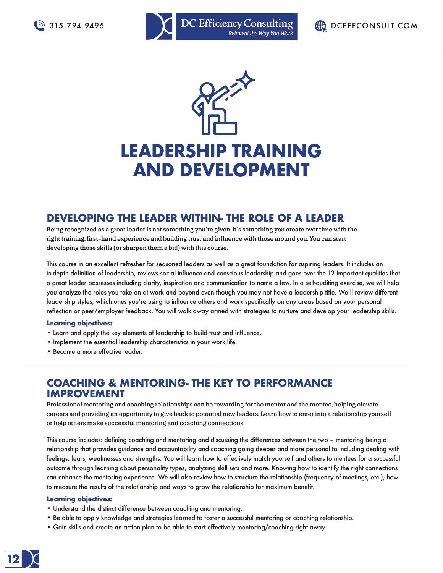



## **DEVELOPING THE LEADER WITHIN- THE ROLE OF A LEADER**

**Being recognized as a great leader is not something you're given, it's something you create over time with the right training, first-hand experience and building trust and influence with those around you. You can start developing those skills (or sharpen them a bit!) with this course.**

This course in an excellent refresher for seasoned leaders as well as a great foundation for aspiring leaders. It includes an in-depth definition of leadership, reviews social influence and conscious leadership and goes over the 12 important qualities that a great leader possesses including clarity, inspiration and communication to name a few. In a self-auditing exercise, we will help you analyze the roles you take on at work and beyond even though you may not have a leadership title. We'll review different leadership styles, which ones you're using to influence others and work specifically on any areas based on your personal reflection or peer/employer feedback. You will walk away armed with strategies to nurture and develop your leadership skills.

### **Learning objectives:**

- Learn and apply the key elements of leadership to build trust and influence.
- Implement the essential leadership characteristics in your work life.
- Become a more effective leader.

## **COACHING & MENTORING- THE KEY TO PERFORMANCE IMPROVEMENT**

**Professional mentoring and coaching relationships can be rewarding for the mentor and the mentee, helping elevate careers and providing an opportunity to give back to potential new leaders. Learn how to enter into a relationship yourself or help others make successful mentoring and coaching connections.**

This course includes: defining coaching and mentoring and discussing the differences between the two – mentoring being a relationship that provides guidance and accountability and coaching going deeper and more personal to including dealing with feelings, fears, weaknesses and strengths. You will learn how to effectively match yourself and others to mentees for a successful outcome through learning about personality types, analyzing skill sets and more. Knowing how to identify the right connections can enhance the mentoring experience. We will also review how to structure the relationship (frequency of meetings, etc.), how to measure the results of the relationship and ways to grow the relationship for maximum benefit.

- Understand the distinct difference between coaching and mentoring.
- Be able to apply knowledge and strategies learned to foster a successful mentoring or coaching relationship.
- Gain skills and create an action plan to be able to start effectively mentoring/coaching right away.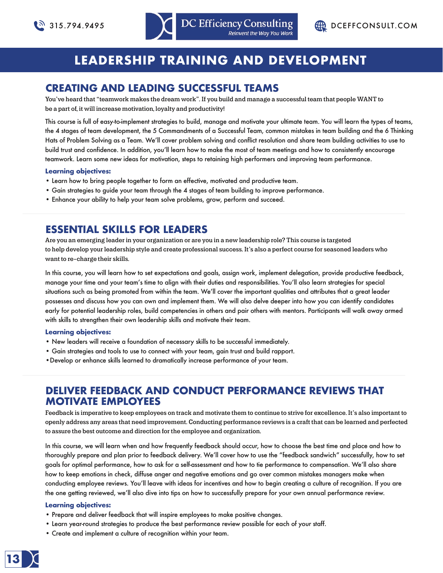# **LEADERSHIP TRAINING AND DEVELOPMENT**

## **CREATING AND LEADING SUCCESSFUL TEAMS**

**You've heard that "teamwork makes the dream work". If you build and manage a successful team that people WANT to be a part of, it will increase motivation, loyalty and productivity!**

This course is full of easy-to-implement strategies to build, manage and motivate your ultimate team. You will learn the types of teams, the 4 stages of team development, the 5 Commandments of a Successful Team, common mistakes in team building and the 6 Thinking Hats of Problem Solving as a Team. We'll cover problem solving and conflict resolution and share team building activities to use to build trust and confidence. In addition, you'll learn how to make the most of team meetings and how to consistently encourage teamwork. Learn some new ideas for motivation, steps to retaining high performers and improving team performance.

### **Learning objectives:**

- Learn how to bring people together to form an effective, motivated and productive team.
- Gain strategies to guide your team through the 4 stages of team building to improve performance.
- Enhance your ability to help your team solve problems, grow, perform and succeed.

## **ESSENTIAL SKILLS FOR LEADERS**

**Are you an emerging leader in your organization or are you in a new leadership role? This course is targeted to help develop your leadership style and create professional success. It's also a perfect course for seasoned leaders who want to re-charge their skills.**

In this course, you will learn how to set expectations and goals, assign work, implement delegation, provide productive feedback, manage your time and your team's time to align with their duties and responsibilities. You'll also learn strategies for special situations such as being promoted from within the team. We'll cover the important qualities and attributes that a great leader possesses and discuss how you can own and implement them. We will also delve deeper into how you can identify candidates early for potential leadership roles, build competencies in others and pair others with mentors. Participants will walk away armed with skills to strengthen their own leadership skills and motivate their team.

### **Learning objectives:**

- New leaders will receive a foundation of necessary skills to be successful immediately.
- Gain strategies and tools to use to connect with your team, gain trust and build rapport.
- •Develop or enhance skills learned to dramatically increase performance of your team.

### **DELIVER FEEDBACK AND CONDUCT PERFORMANCE REVIEWS THAT MOTIVATE EMPLOYEES**

**Feedback is imperative to keep employees on track and motivate them to continue to strive for excellence. It's also important to openly address any areas that need improvement. Conducting performance reviews is a craft that can be learned and perfected to assure the best outcome and direction for the employee and organization.**

In this course, we will learn when and how frequently feedback should occur, how to choose the best time and place and how to thoroughly prepare and plan prior to feedback delivery. We'll cover how to use the "feedback sandwich" successfully, how to set goals for optimal performance, how to ask for a self-assessment and how to tie performance to compensation. We'll also share how to keep emotions in check, diffuse anger and negative emotions and go over common mistakes managers make when conducting employee reviews. You'll leave with ideas for incentives and how to begin creating a culture of recognition. If you are the one getting reviewed, we'll also dive into tips on how to successfully prepare for your own annual performance review.

- Prepare and deliver feedback that will inspire employees to make positive changes.
- Learn year-round strategies to produce the best performance review possible for each of your staff.
- Create and implement a culture of recognition within your team.

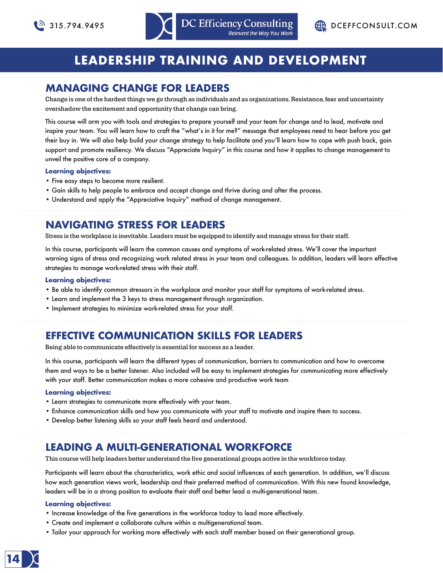

# **LEADERSHIP TRAINING AND DEVELOPMENT**

## **MANAGING CHANGE FOR LEADERS**

**Change is one of the hardest things we go through as individuals and as organizations. Resistance, fear and uncertainty overshadow the excitement and opportunity that change can bring.**

This course will arm you with tools and strategies to prepare yourself and your team for change and to lead, motivate and inspire your team. You will learn how to craft the "what's in it for me?" message that employees need to hear before you get their buy in. We will also help build your change strategy to help facilitate and you'll learn how to cope with push back, gain support and promote resiliency. We discuss "Appreciate Inquiry" in this course and how it applies to change management to unveil the positive core of a company.

### **Learning objectives:**

- Five easy steps to become more resilient.
- Gain skills to help people to embrace and accept change and thrive during and after the process.
- Understand and apply the "Appreciative Inquiry" method of change management.

## **NAVIGATING STRESS FOR LEADERS**

**Stress is the workplace is inevitable. Leaders must be equipped to identify and manage stress for their staff.**

In this course, participants will learn the common causes and symptoms of work-related stress. We'll cover the important warning signs of stress and recognizing work related stress in your team and colleagues. In addition, leaders will learn effective strategies to manage work-related stress with their staff.

### **Learning objectives:**

- Be able to identify common stressors in the workplace and monitor your staff for symptoms of work-related stress.
- Learn and implement the 3 keys to stress management through organization.
- Implement strategies to minimize work-related stress for your staff.

## **EFFECTIVE COMMUNICATION SKILLS FOR LEADERS**

**Being able to communicate effectively is essential for success as a leader.**

In this course, participants will learn the different types of communication, barriers to communication and how to overcome them and ways to be a better listener. Also included will be easy to implement strategies for communicating more effectively with your staff. Better communication makes a more cohesive and productive work team

### **Learning objectives:**

- Learn strategies to communicate more effectively with your team.
- Enhance communication skills and how you communicate with your staff to motivate and inspire them to success.
- Develop better listening skills so your staff feels heard and understood.

## **LEADING A MULTI-GENERATIONAL WORKFORCE**

**This course will help leaders better understand the five generational groups active in the workforce today.**

Participants will learn about the characteristics, work ethic and social influences of each generation. In addition, we'll discuss how each generation views work, leadership and their preferred method of communication. With this new found knowledge, leaders will be in a strong position to evaluate their staff and better lead a multi-generational team.

- Increase knowledge of the five generations in the workforce today to lead more effectively.
- Create and implement a collaborate culture within a multigenerational team.
- Tailor your approach for working more effectively with each staff member based on their generational group.

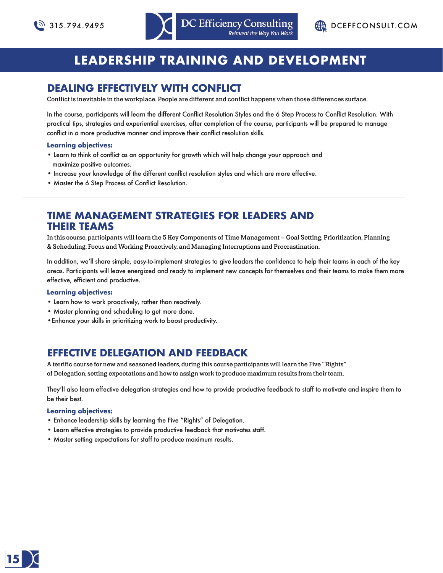# **LEADERSHIP TRAINING AND DEVELOPMENT**

## **DEALING EFFECTIVELY WITH CONFLICT**

**Conflict is inevitable in the workplace. People are different and conflict happens when those differences surface.**

In the course, participants will learn the different Conflict Resolution Styles and the 6 Step Process to Conflict Resolution. With practical tips, strategies and experiential exercises, after completion of the course, participants will be prepared to manage conflict in a more productive manner and improve their conflict resolution skills.

### **Learning objectives:**

- Learn to think of conflict as an opportunity for growth which will help change your approach and maximize positive outcomes.
- Increase your knowledge of the different conflict resolution styles and which are more effective.
- Master the 6 Step Process of Conflict Resolution.

## **TIME MANAGEMENT STRATEGIES FOR LEADERS AND THEIR TEAMS**

**In this course, participants will learn the 5 Key Components of Time Management – Goal Setting, Prioritization, Planning & Scheduling, Focus and Working Proactively, and Managing Interruptions and Procrastination.**

In addition, we'll share simple, easy-to-implement strategies to give leaders the confidence to help their teams in each of the key areas. Participants will leave energized and ready to implement new concepts for themselves and their teams to make them more effective, efficient and productive.

### **Learning objectives:**

- Learn how to work proactively, rather than reactively.
- Master planning and scheduling to get more done.
- •Enhance your skills in prioritizing work to boost productivity.

## **EFFECTIVE DELEGATION AND FEEDBACK**

**A terrific course for new and seasoned leaders, during this course participants will learn the Five "Rights" of Delegation, setting expectations and how to assign work to produce maximum results from their team.**

They'll also learn effective delegation strategies and how to provide productive feedback to staff to motivate and inspire them to be their best.

- Enhance leadership skills by learning the Five "Rights" of Delegation.
- Learn effective strategies to provide productive feedback that motivates staff.
- Master setting expectations for staff to produce maximum results.

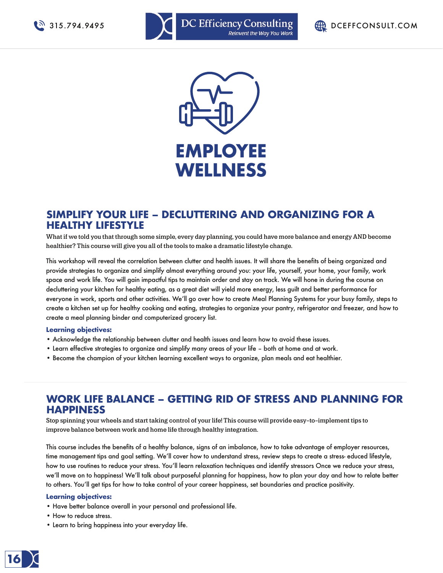





### **SIMPLIFY YOUR LIFE – DECLUTTERING AND ORGANIZING FOR A HEALTHY LIFESTYLE**

**What if we told you that through some simple, every day planning, you could have more balance and energy AND become healthier? This course will give you all of the tools to make a dramatic lifestyle change.**

This workshop will reveal the correlation between clutter and health issues. It will share the benefits of being organized and provide strategies to organize and simplify almost everything around you: your life, yourself, your home, your family, work space and work life. You will gain impactful tips to maintain order and stay on track. We will hone in during the course on decluttering your kitchen for healthy eating, as a great diet will yield more energy, less guilt and better performance for everyone in work, sports and other activities. We'll go over how to create Meal Planning Systems for your busy family, steps to create a kitchen set up for healthy cooking and eating, strategies to organize your pantry, refrigerator and freezer, and how to create a meal planning binder and computerized grocery list.

### **Learning objectives:**

- Acknowledge the relationship between clutter and health issues and learn how to avoid these issues.
- Learn effective strategies to organize and simplify many areas of your life both at home and at work.
- Become the champion of your kitchen learning excellent ways to organize, plan meals and eat healthier.

## **WORK LIFE BALANCE – GETTING RID OF STRESS AND PLANNING FOR HAPPINESS**

**Stop spinning your wheels and start taking control of your life! This course will provide easy-to-implement tips to improve balance between work and home life through healthy integration.**

This course includes the benefits of a healthy balance, signs of an imbalance, how to take advantage of employer resources, time management tips and goal setting. We'll cover how to understand stress, review steps to create a stress- educed lifestyle, how to use routines to reduce your stress. You'll learn relaxation techniques and identify stressors Once we reduce your stress, we'll move on to happiness! We'll talk about purposeful planning for happiness, how to plan your day and how to relate better to others. You'll get tips for how to take control of your career happiness, set boundaries and practice positivity.

- Have better balance overall in your personal and professional life.
- How to reduce stress.
- Learn to bring happiness into your everyday life.